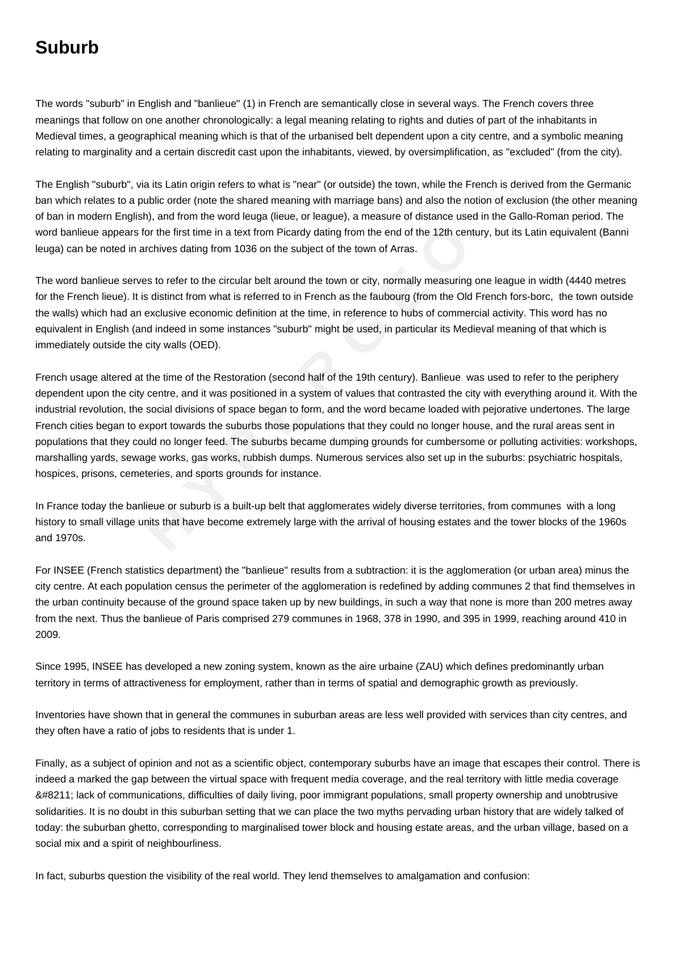## **Suburb**

The words "suburb" in English and "banlieue" (1) in French are semantically close in several ways. The French covers three meanings that follow on one another chronologically: a legal meaning relating to rights and duties of part of the inhabitants in Medieval times, a geographical meaning which is that of the urbanised belt dependent upon a city centre, and a symbolic meaning relating to marginality and a certain discredit cast upon the inhabitants, viewed, by oversimplification, as "excluded" (from the city).

The English "suburb", via its Latin origin refers to what is "near" (or outside) the town, while the French is derived from the Germanic ban which relates to a public order (note the shared meaning with marriage bans) and also the notion of exclusion (the other meaning of ban in modern English), and from the word leuga (lieue, or league), a measure of distance used in the Gallo-Roman period. The word banlieue appears for the first time in a text from Picardy dating from the end of the 12th century, but its Latin equivalent (Banni leuga) can be noted in archives dating from 1036 on the subject of the town of Arras.

The word banlieue serves to refer to the circular belt around the town or city, normally measuring one league in width (4440 metres for the French lieue). It is distinct from what is referred to in French as the faubourg (from the Old French fors-borc, the town outside the walls) which had an exclusive economic definition at the time, in reference to hubs of commercial activity. This word has no equivalent in English (and indeed in some instances "suburb" might be used, in particular its Medieval meaning of that which is immediately outside the city walls (OED).

pears for the first time in a text from Picardy dating from the end of the 12th century<br>teed in archives dating from 1036 on the subject of the town of Arras.<br>
He serves to refer to the circular belt around the town or cit French usage altered at the time of the Restoration (second half of the 19th century). Banlieue was used to refer to the periphery dependent upon the city centre, and it was positioned in a system of values that contrasted the city with everything around it. With the industrial revolution, the social divisions of space began to form, and the word became loaded with pejorative undertones. The large French cities began to export towards the suburbs those populations that they could no longer house, and the rural areas sent in populations that they could no longer feed. The suburbs became dumping grounds for cumbersome or polluting activities: workshops, marshalling yards, sewage works, gas works, rubbish dumps. Numerous services also set up in the suburbs: psychiatric hospitals, hospices, prisons, cemeteries, and sports grounds for instance.

In France today the banlieue or suburb is a built-up belt that agglomerates widely diverse territories, from communes with a long history to small village units that have become extremely large with the arrival of housing estates and the tower blocks of the 1960s and 1970s.

For INSEE (French statistics department) the "banlieue" results from a subtraction: it is the agglomeration (or urban area) minus the city centre. At each population census the perimeter of the agglomeration is redefined by adding communes 2 that find themselves in the urban continuity because of the ground space taken up by new buildings, in such a way that none is more than 200 metres away from the next. Thus the banlieue of Paris comprised 279 communes in 1968, 378 in 1990, and 395 in 1999, reaching around 410 in 2009.

Since 1995, INSEE has developed a new zoning system, known as the aire urbaine (ZAU) which defines predominantly urban territory in terms of attractiveness for employment, rather than in terms of spatial and demographic growth as previously.

Inventories have shown that in general the communes in suburban areas are less well provided with services than city centres, and they often have a ratio of jobs to residents that is under 1.

Finally, as a subject of opinion and not as a scientific object, contemporary suburbs have an image that escapes their control. There is indeed a marked the gap between the virtual space with frequent media coverage, and the real territory with little media coverage  $& #8211$ ; lack of communications, difficulties of daily living, poor immigrant populations, small property ownership and unobtrusive solidarities. It is no doubt in this suburban setting that we can place the two myths pervading urban history that are widely talked of today: the suburban ghetto, corresponding to marginalised tower block and housing estate areas, and the urban village, based on a social mix and a spirit of neighbourliness.

In fact, suburbs question the visibility of the real world. They lend themselves to amalgamation and confusion: